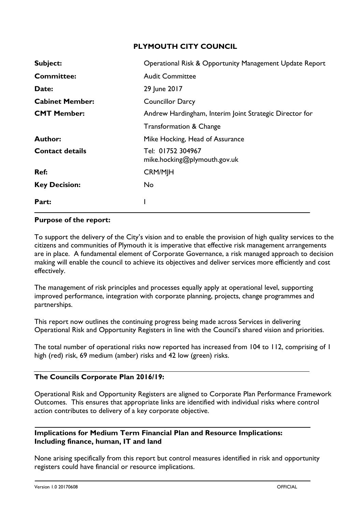# **PLYMOUTH CITY COUNCIL**

| Subject:               | Operational Risk & Opportunity Management Update Report |
|------------------------|---------------------------------------------------------|
| <b>Committee:</b>      | <b>Audit Committee</b>                                  |
| Date:                  | 29 June 2017                                            |
| <b>Cabinet Member:</b> | <b>Councillor Darcy</b>                                 |
| <b>CMT Member:</b>     | Andrew Hardingham, Interim Joint Strategic Director for |
|                        | <b>Transformation &amp; Change</b>                      |
| <b>Author:</b>         | Mike Hocking, Head of Assurance                         |
| <b>Contact details</b> | Tel: 01752 304967<br>mike.hocking@plymouth.gov.uk       |
| Ref:                   | <b>CRM/MJH</b>                                          |
| <b>Key Decision:</b>   | No.                                                     |
| Part:                  |                                                         |

## **Purpose of the report:**

To support the delivery of the City's vision and to enable the provision of high quality services to the citizens and communities of Plymouth it is imperative that effective risk management arrangements are in place. A fundamental element of Corporate Governance, a risk managed approach to decision making will enable the council to achieve its objectives and deliver services more efficiently and cost effectively.

The management of risk principles and processes equally apply at operational level, supporting improved performance, integration with corporate planning, projects, change programmes and partnerships.

This report now outlines the continuing progress being made across Services in delivering Operational Risk and Opportunity Registers in line with the Council's shared vision and priorities.

The total number of operational risks now reported has increased from 104 to 112, comprising of 1 high (red) risk, 69 medium (amber) risks and 42 low (green) risks.

### **The Councils Corporate Plan 2016/19:**

Operational Risk and Opportunity Registers are aligned to Corporate Plan Performance Framework Outcomes. This ensures that appropriate links are identified with individual risks where control action contributes to delivery of a key corporate objective.

## **Implications for Medium Term Financial Plan and Resource Implications: Including finance, human, IT and land**

None arising specifically from this report but control measures identified in risk and opportunity registers could have financial or resource implications.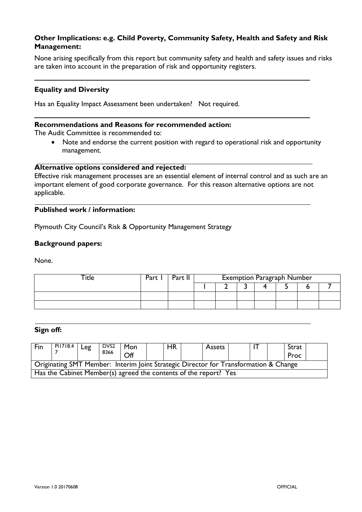## **Other Implications: e.g. Child Poverty, Community Safety, Health and Safety and Risk Management:**

None arising specifically from this report but community safety and health and safety issues and risks are taken into account in the preparation of risk and opportunity registers.

### **Equality and Diversity**

Has an Equality Impact Assessment been undertaken? Not required.

#### **Recommendations and Reasons for recommended action:**

The Audit Committee is recommended to:

• Note and endorse the current position with regard to operational risk and opportunity management.

#### **Alternative options considered and rejected:**

Effective risk management processes are an essential element of internal control and as such are an important element of good corporate governance. For this reason alternative options are not applicable.

### **Published work / information:**

Plymouth City Council's Risk & Opportunity Management Strategy

#### **Background papers:**

None.

| ┲. | Part | Part I | <b>Exemption Paragraph Number</b> |  |  |  |  |  |  |
|----|------|--------|-----------------------------------|--|--|--|--|--|--|
|    |      |        |                                   |  |  |  |  |  |  |
|    |      |        |                                   |  |  |  |  |  |  |
|    |      |        |                                   |  |  |  |  |  |  |

## **Sign off:**

| Fin                                                                                  | PI1718.4 | Leg | DVS <sub>2</sub> | Mon              |  | HR | Assets |  | Strat |  |
|--------------------------------------------------------------------------------------|----------|-----|------------------|------------------|--|----|--------|--|-------|--|
|                                                                                      |          |     | 8366             | $\overline{Off}$ |  |    |        |  | Proc  |  |
| Originating SMT Member: Interim Joint Strategic Director for Transformation & Change |          |     |                  |                  |  |    |        |  |       |  |
| Has the Cabinet Member(s) agreed the contents of the report? Yes                     |          |     |                  |                  |  |    |        |  |       |  |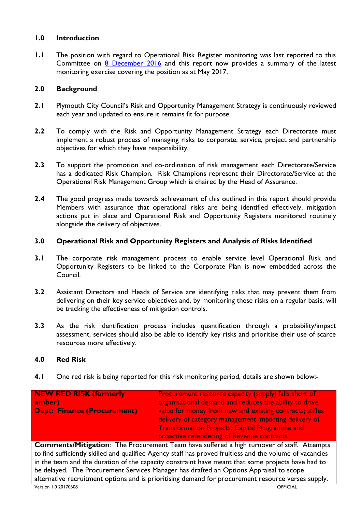# **1.0 Introduction**

**1.1** The position with regard to Operational Risk Register monitoring was last reported to this Committee on 8 [December 2016](http://web.plymouth.gov.uk/modgov?modgovlink=http%3A%2F%2Fdemocracy.plymouth.gov.uk%2FieListDocuments.aspx%3FCId%3D249%26amp%3BMId%3D6881%26amp%3BVer%3D4) and this report now provides a summary of the latest monitoring exercise covering the position as at May 2017.

# **2.0 Background**

- **2.1** Plymouth City Council's Risk and Opportunity Management Strategy is continuously reviewed each year and updated to ensure it remains fit for purpose.
- **2.2** To comply with the Risk and Opportunity Management Strategy each Directorate must implement a robust process of managing risks to corporate, service, project and partnership objectives for which they have responsibility.
- **2.3** To support the promotion and co-ordination of risk management each Directorate/Service has a dedicated Risk Champion. Risk Champions represent their Directorate/Service at the Operational Risk Management Group which is chaired by the Head of Assurance.
- **2.4** The good progress made towards achievement of this outlined in this report should provide Members with assurance that operational risks are being identified effectively, mitigation actions put in place and Operational Risk and Opportunity Registers monitored routinely alongside the delivery of objectives.

## **3.0 Operational Risk and Opportunity Registers and Analysis of Risks Identified**

- **3.1** The corporate risk management process to enable service level Operational Risk and Opportunity Registers to be linked to the Corporate Plan is now embedded across the Council.
- **3.2** Assistant Directors and Heads of Service are identifying risks that may prevent them from delivering on their key service objectives and, by monitoring these risks on a regular basis, will be tracking the effectiveness of mitigation controls.
- **3.3** As the risk identification process includes quantification through a probability/impact assessment, services should also be able to identify key risks and prioritise their use of scarce resources more effectively.

### **4.0 Red Risk**

**4.1** One red risk is being reported for this risk monitoring period, details are shown below:-

| <b>NEW RED RISK (formerly</b> | <b>Procurement resource capacity (supply) falls short of</b>                                      |
|-------------------------------|---------------------------------------------------------------------------------------------------|
| amber)                        | organisational demand and reduces the ability to drive                                            |
| Dept: Finance (Procurement)   | value for money from new and existing contracts; stifles                                          |
|                               | delivery of category management impacting delivery of                                             |
|                               | <b>Transformation Projects, Capital Programme and</b>                                             |
|                               | proactive retendering of Revenue contracts                                                        |
|                               | <b>Comments/Mitigation:</b> The Procurement Team have suffered a high turnover of staff. Attempts |

to find sufficiently skilled and qualified Agency staff has proved fruitless and the volume of vacancies in the team and the duration of the capacity constraint have meant that some projects have had to be delayed. The Procurement Services Manager has drafted an Options Appraisal to scope alternative recruitment options and is prioritising demand for procurement resource verses supply.